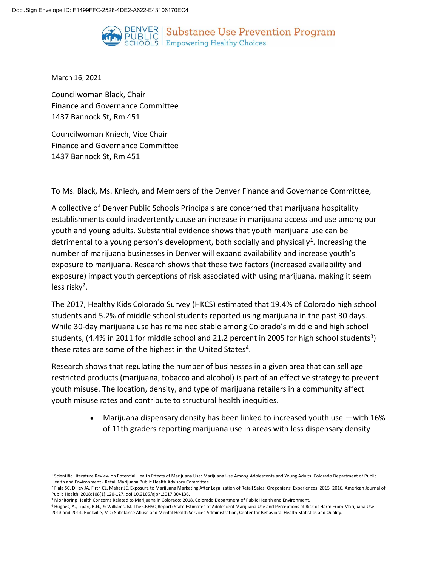

DENVER | Substance Use Prevention Program PUBLIC | Substance USe Prever<br>SCHOOLS | Empowering Healthy Choices

March 16, 2021

l

Councilwoman Black, Chair Finance and Governance Committee 1437 Bannock St, Rm 451

Councilwoman Kniech, Vice Chair Finance and Governance Committee 1437 Bannock St, Rm 451

To Ms. Black, Ms. Kniech, and Members of the Denver Finance and Governance Committee,

A collective of Denver Public Schools Principals are concerned that marijuana hospitality establishments could inadvertently cause an increase in marijuana access and use among our youth and young adults. Substantial evidence shows that youth marijuana use can be detrimental to a young person's development, both socially and physically<sup>1</sup>. Increasing the number of marijuana businesses in Denver will expand availability and increase youth's exposure to marijuana. Research shows that these two factors (increased availability and exposure) impact youth perceptions of risk associated with using marijuana, making it seem less risky<sup>2</sup>.

The 2017, Healthy Kids Colorado Survey (HKCS) estimated that 19.4% of Colorado high school students and 5.2% of middle school students reported using marijuana in the past 30 days. While 30-day marijuana use has remained stable among Colorado's middle and high school students, (4.4% in 2011 for middle school and 21.2 percent in 2005 for high school students<sup>3</sup>) these rates are some of the highest in the United States<sup>4</sup>.

Research shows that regulating the number of businesses in a given area that can sell age restricted products (marijuana, tobacco and alcohol) is part of an effective strategy to prevent youth misuse. The location, density, and type of marijuana retailers in a community affect youth misuse rates and contribute to structural health inequities.

> Marijuana dispensary density has been linked to increased youth use —with 16% of 11th graders reporting marijuana use in areas with less dispensary density

<sup>&</sup>lt;sup>1</sup> Scientific Literature Review on Potential Health Effects of Marijuana Use: Marijuana Use Among Adolescents and Young Adults. Colorado Department of Public Health and Environment - Retail Marijuana Public Health Advisory Committee.

<sup>2</sup> Fiala SC, Dilley JA, Firth CL, Maher JE. Exposure to Marijuana Marketing After Legalization of Retail Sales: Oregonians' Experiences, 2015–2016. American Journal of Public Health. 2018;108(1):120-127. doi:10.2105/ajph.2017.304136.

<sup>3</sup> Monitoring Health Concerns Related to Marijuana in Colorado: 2018. Colorado Department of Public Health and Environment.

<sup>4</sup> Hughes, A., Lipari, R.N., & Williams, M. The CBHSQ Report: State Estimates of Adolescent Marijuana Use and Perceptions of Risk of Harm From Marijuana Use: 2013 and 2014. Rockville, MD: Substance Abuse and Mental Health Services Administration, Center for Behavioral Health Statistics and Quality.